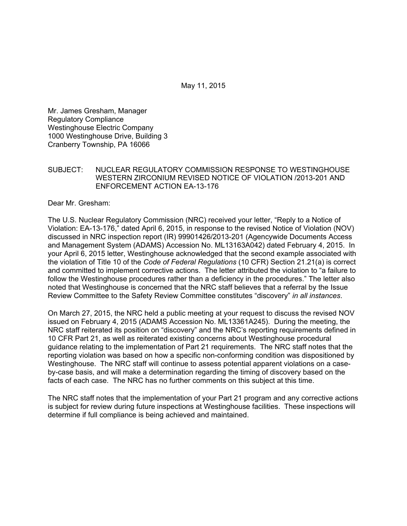May 11, 2015

Mr. James Gresham, Manager Regulatory Compliance Westinghouse Electric Company 1000 Westinghouse Drive, Building 3 Cranberry Township, PA 16066

## SUBJECT: NUCLEAR REGULATORY COMMISSION RESPONSE TO WESTINGHOUSE WESTERN ZIRCONIUM REVISED NOTICE OF VIOLATION /2013-201 AND ENFORCEMENT ACTION EA-13-176

Dear Mr. Gresham:

The U.S. Nuclear Regulatory Commission (NRC) received your letter, "Reply to a Notice of Violation: EA-13-176," dated April 6, 2015, in response to the revised Notice of Violation (NOV) discussed in NRC inspection report (IR) 99901426/2013-201 (Agencywide Documents Access and Management System (ADAMS) Accession No. ML13163A042) dated February 4, 2015. In your April 6, 2015 letter, Westinghouse acknowledged that the second example associated with the violation of Title 10 of the *Code of Federal Regulations* (10 CFR) Section 21.21(a) is correct and committed to implement corrective actions. The letter attributed the violation to "a failure to follow the Westinghouse procedures rather than a deficiency in the procedures." The letter also noted that Westinghouse is concerned that the NRC staff believes that a referral by the Issue Review Committee to the Safety Review Committee constitutes "discovery" *in all instances*.

On March 27, 2015, the NRC held a public meeting at your request to discuss the revised NOV issued on February 4, 2015 (ADAMS Accession No. ML13361A245). During the meeting, the NRC staff reiterated its position on "discovery" and the NRC's reporting requirements defined in 10 CFR Part 21, as well as reiterated existing concerns about Westinghouse procedural guidance relating to the implementation of Part 21 requirements. The NRC staff notes that the reporting violation was based on how a specific non-conforming condition was dispositioned by Westinghouse. The NRC staff will continue to assess potential apparent violations on a caseby-case basis, and will make a determination regarding the timing of discovery based on the facts of each case. The NRC has no further comments on this subject at this time.

The NRC staff notes that the implementation of your Part 21 program and any corrective actions is subject for review during future inspections at Westinghouse facilities. These inspections will determine if full compliance is being achieved and maintained.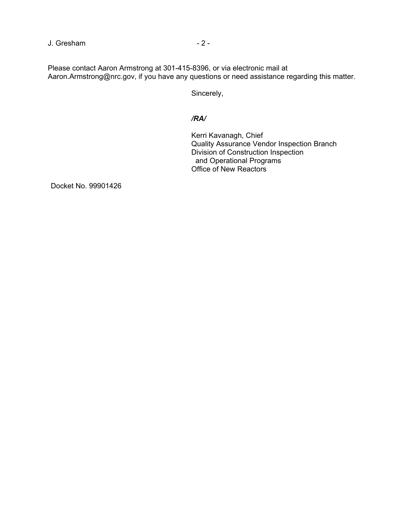J. Gresham  $-2$  -

Please contact Aaron Armstrong at 301-415-8396, or via electronic mail at Aaron.Armstrong@nrc.gov, if you have any questions or need assistance regarding this matter.

Sincerely,

## */RA/*

Kerri Kavanagh, Chief Quality Assurance Vendor Inspection Branch Division of Construction Inspection and Operational Programs Office of New Reactors

Docket No. 99901426